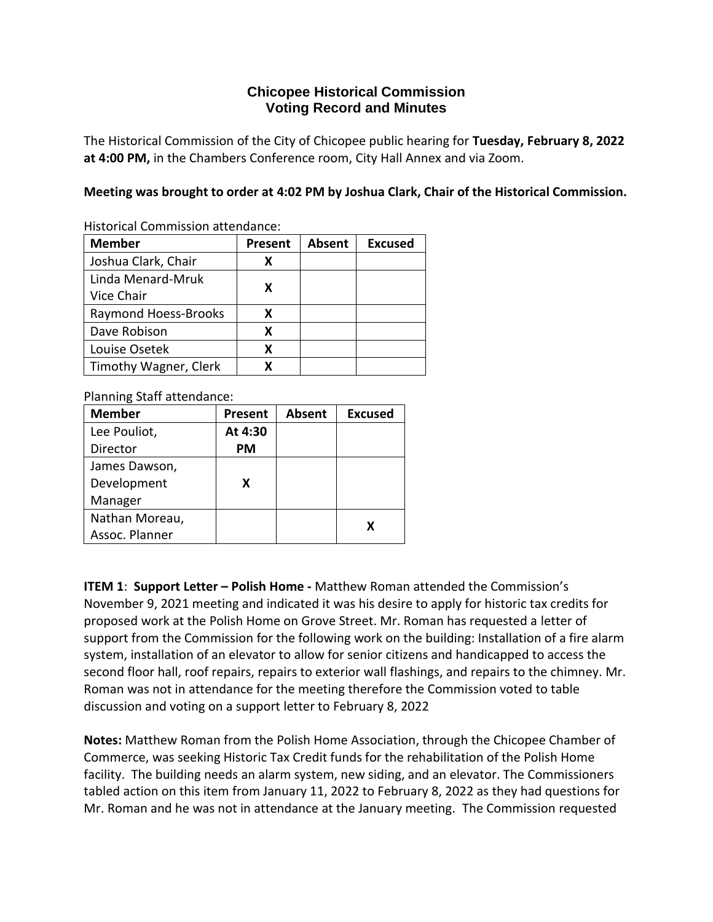## **Chicopee Historical Commission Voting Record and Minutes**

The Historical Commission of the City of Chicopee public hearing for **Tuesday, February 8, 2022 at 4:00 PM,** in the Chambers Conference room, City Hall Annex and via Zoom.

**Meeting was brought to order at 4:02 PM by Joshua Clark, Chair of the Historical Commission.**

Historical Commission attendance:

| <b>Member</b>         | <b>Present</b> | <b>Absent</b> | <b>Excused</b> |
|-----------------------|----------------|---------------|----------------|
| Joshua Clark, Chair   |                |               |                |
| Linda Menard-Mruk     |                |               |                |
| Vice Chair            | X              |               |                |
| Raymond Hoess-Brooks  | x              |               |                |
| Dave Robison          | x              |               |                |
| Louise Osetek         | X              |               |                |
| Timothy Wagner, Clerk |                |               |                |

Planning Staff attendance:

| <b>Member</b>  | <b>Present</b> | <b>Absent</b> | <b>Excused</b> |
|----------------|----------------|---------------|----------------|
| Lee Pouliot,   | At 4:30        |               |                |
| Director       | PМ             |               |                |
| James Dawson,  |                |               |                |
| Development    | x              |               |                |
| Manager        |                |               |                |
| Nathan Moreau, |                |               | x              |
| Assoc. Planner |                |               |                |

**ITEM 1**: **Support Letter – Polish Home -** Matthew Roman attended the Commission's November 9, 2021 meeting and indicated it was his desire to apply for historic tax credits for proposed work at the Polish Home on Grove Street. Mr. Roman has requested a letter of support from the Commission for the following work on the building: Installation of a fire alarm system, installation of an elevator to allow for senior citizens and handicapped to access the second floor hall, roof repairs, repairs to exterior wall flashings, and repairs to the chimney. Mr. Roman was not in attendance for the meeting therefore the Commission voted to table discussion and voting on a support letter to February 8, 2022

**Notes:** Matthew Roman from the Polish Home Association, through the Chicopee Chamber of Commerce, was seeking Historic Tax Credit funds for the rehabilitation of the Polish Home facility. The building needs an alarm system, new siding, and an elevator. The Commissioners tabled action on this item from January 11, 2022 to February 8, 2022 as they had questions for Mr. Roman and he was not in attendance at the January meeting. The Commission requested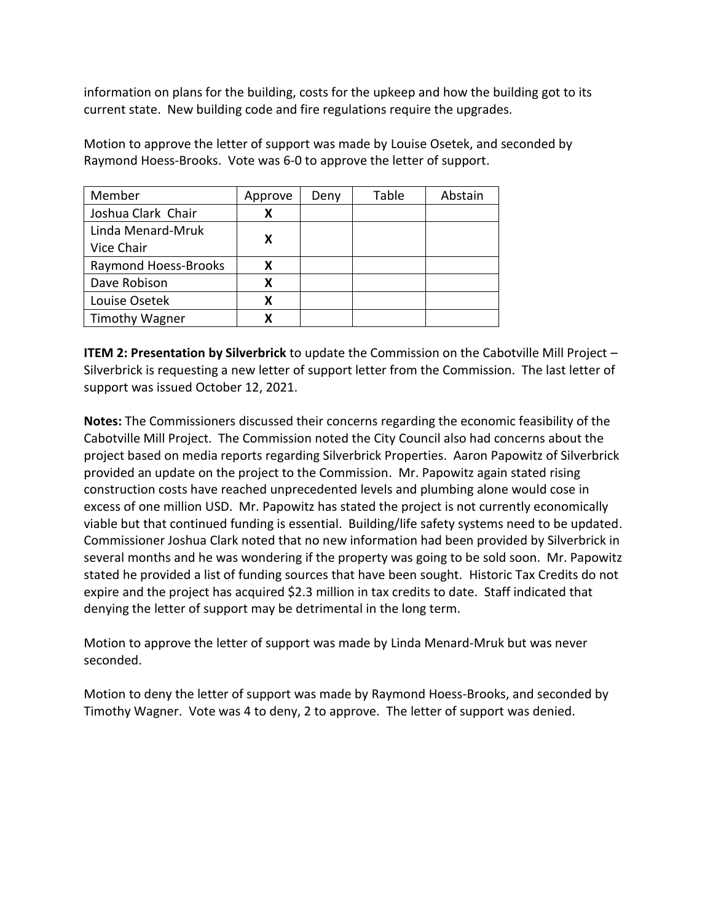information on plans for the building, costs for the upkeep and how the building got to its current state. New building code and fire regulations require the upgrades.

Motion to approve the letter of support was made by Louise Osetek, and seconded by Raymond Hoess-Brooks. Vote was 6-0 to approve the letter of support.

| Member                | Approve | Deny | Table | Abstain |
|-----------------------|---------|------|-------|---------|
| Joshua Clark Chair    | X       |      |       |         |
| Linda Menard-Mruk     | x       |      |       |         |
| Vice Chair            |         |      |       |         |
| Raymond Hoess-Brooks  |         |      |       |         |
| Dave Robison          |         |      |       |         |
| Louise Osetek         | X       |      |       |         |
| <b>Timothy Wagner</b> |         |      |       |         |

**ITEM 2: Presentation by Silverbrick** to update the Commission on the Cabotville Mill Project – Silverbrick is requesting a new letter of support letter from the Commission. The last letter of support was issued October 12, 2021.

**Notes:** The Commissioners discussed their concerns regarding the economic feasibility of the Cabotville Mill Project. The Commission noted the City Council also had concerns about the project based on media reports regarding Silverbrick Properties. Aaron Papowitz of Silverbrick provided an update on the project to the Commission. Mr. Papowitz again stated rising construction costs have reached unprecedented levels and plumbing alone would cose in excess of one million USD. Mr. Papowitz has stated the project is not currently economically viable but that continued funding is essential. Building/life safety systems need to be updated. Commissioner Joshua Clark noted that no new information had been provided by Silverbrick in several months and he was wondering if the property was going to be sold soon. Mr. Papowitz stated he provided a list of funding sources that have been sought. Historic Tax Credits do not expire and the project has acquired \$2.3 million in tax credits to date. Staff indicated that denying the letter of support may be detrimental in the long term.

Motion to approve the letter of support was made by Linda Menard-Mruk but was never seconded.

Motion to deny the letter of support was made by Raymond Hoess-Brooks, and seconded by Timothy Wagner. Vote was 4 to deny, 2 to approve. The letter of support was denied.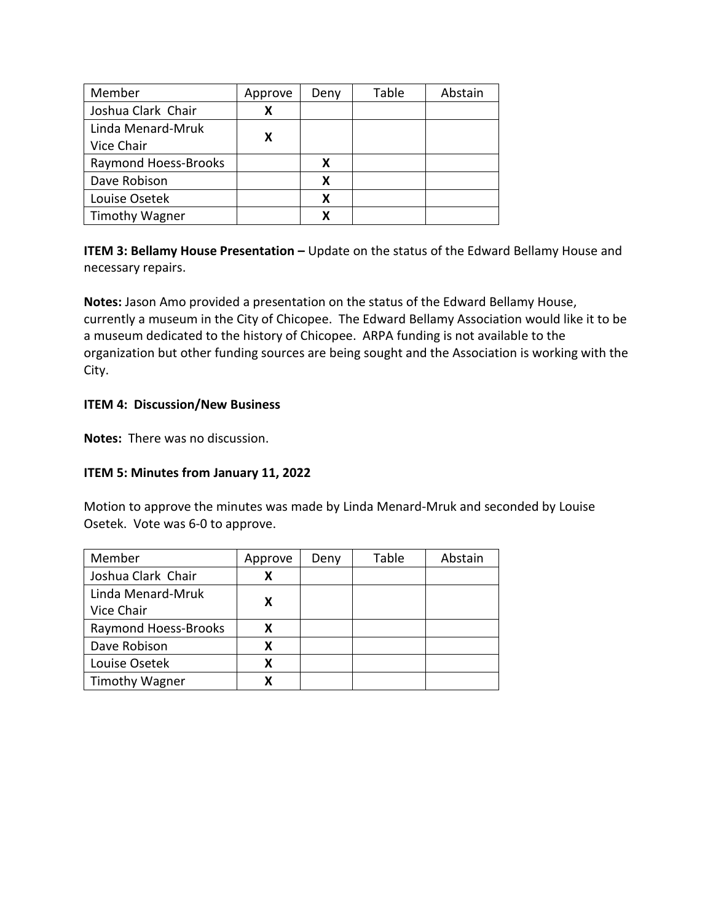| Member                      | Approve | Deny | Table | Abstain |
|-----------------------------|---------|------|-------|---------|
| Joshua Clark Chair          |         |      |       |         |
| Linda Menard-Mruk           |         |      |       |         |
| Vice Chair                  |         |      |       |         |
| <b>Raymond Hoess-Brooks</b> |         |      |       |         |
| Dave Robison                |         | x    |       |         |
| Louise Osetek               |         | x    |       |         |
| <b>Timothy Wagner</b>       |         |      |       |         |

**ITEM 3: Bellamy House Presentation –** Update on the status of the Edward Bellamy House and necessary repairs.

**Notes:** Jason Amo provided a presentation on the status of the Edward Bellamy House, currently a museum in the City of Chicopee. The Edward Bellamy Association would like it to be a museum dedicated to the history of Chicopee. ARPA funding is not available to the organization but other funding sources are being sought and the Association is working with the City.

## **ITEM 4: Discussion/New Business**

**Notes:** There was no discussion.

## **ITEM 5: Minutes from January 11, 2022**

Motion to approve the minutes was made by Linda Menard-Mruk and seconded by Louise Osetek. Vote was 6-0 to approve.

| Member                | Approve | Deny | Table | Abstain |
|-----------------------|---------|------|-------|---------|
| Joshua Clark Chair    |         |      |       |         |
| Linda Menard-Mruk     |         |      |       |         |
| Vice Chair            |         |      |       |         |
| Raymond Hoess-Brooks  |         |      |       |         |
| Dave Robison          |         |      |       |         |
| Louise Osetek         |         |      |       |         |
| <b>Timothy Wagner</b> |         |      |       |         |